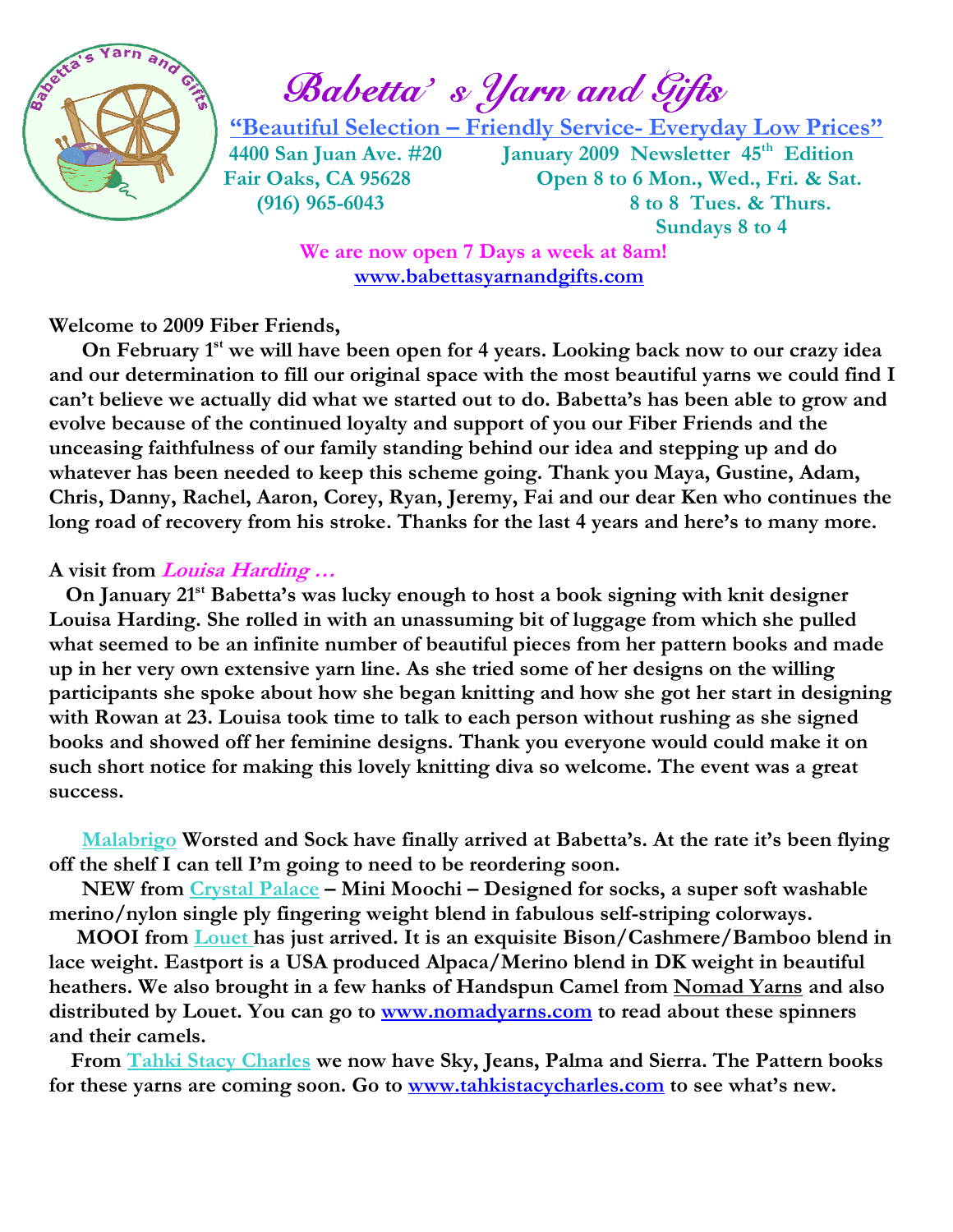

Babetta's *Yarn and Gifts* 

"Beautiful Selection – Friendly Service- Everyday Low Prices"

4400 San Juan Ave. #20 January 2009 Newsletter 45<sup>th</sup> Edition Fair Oaks, CA 95628 Open 8 to 6 Mon., Wed., Fri. & Sat. (916) 965-6043 8 to 8 Tues. & Thurs. Sundays 8 to 4

> We are now open 7 Days a week at 8am! www.babettasyarnandgifts.com

Welcome to 2009 Fiber Friends,

On February 1<sup>st</sup> we will have been open for 4 years. Looking back now to our crazy idea and our determination to fill our original space with the most beautiful yarns we could find I can't believe we actually did what we started out to do. Babetta's has been able to grow and evolve because of the continued loyalty and support of you our Fiber Friends and the unceasing faithfulness of our family standing behind our idea and stepping up and do whatever has been needed to keep this scheme going. Thank you Maya, Gustine, Adam, Chris, Danny, Rachel, Aaron, Corey, Ryan, Jeremy, Fai and our dear Ken who continues the long road of recovery from his stroke. Thanks for the last 4 years and here's to many more.

#### A visit from *Louisa Harding* ...

On January 21<sup>st</sup> Babetta's was lucky enough to host a book signing with knit designer Louisa Harding. She rolled in with an unassuming bit of luggage from which she pulled what seemed to be an infinite number of beautiful pieces from her pattern books and made up in her very own extensive yarn line. As she tried some of her designs on the willing participants she spoke about how she began knitting and how she got her start in designing with Rowan at 23. Louisa took time to talk to each person without rushing as she signed books and showed off her feminine designs. Thank you everyone would could make it on such short notice for making this lovely knitting diva so welcome. The event was a great success.

Malabrigo Worsted and Sock have finally arrived at Babetta's. At the rate it's been flying off the shelf I can tell I'm going to need to be reordering soon.

NEW from Crystal Palace – Mini Moochi – Designed for socks, a super soft washable merino/nylon single ply fingering weight blend in fabulous self-striping colorways.

MOOI from Louet has just arrived. It is an exquisite Bison/Cashmere/Bamboo blend in lace weight. Eastport is a USA produced Alpaca/Merino blend in DK weight in beautiful heathers. We also brought in a few hanks of Handspun Camel from Nomad Yarns and also distributed by Louet. You can go to **www.nomadyarns.com** to read about these spinners and their camels.

 From Tahki Stacy Charles we now have Sky, Jeans, Palma and Sierra. The Pattern books for these yarns are coming soon. Go to www.tahkistacycharles.com to see what's new.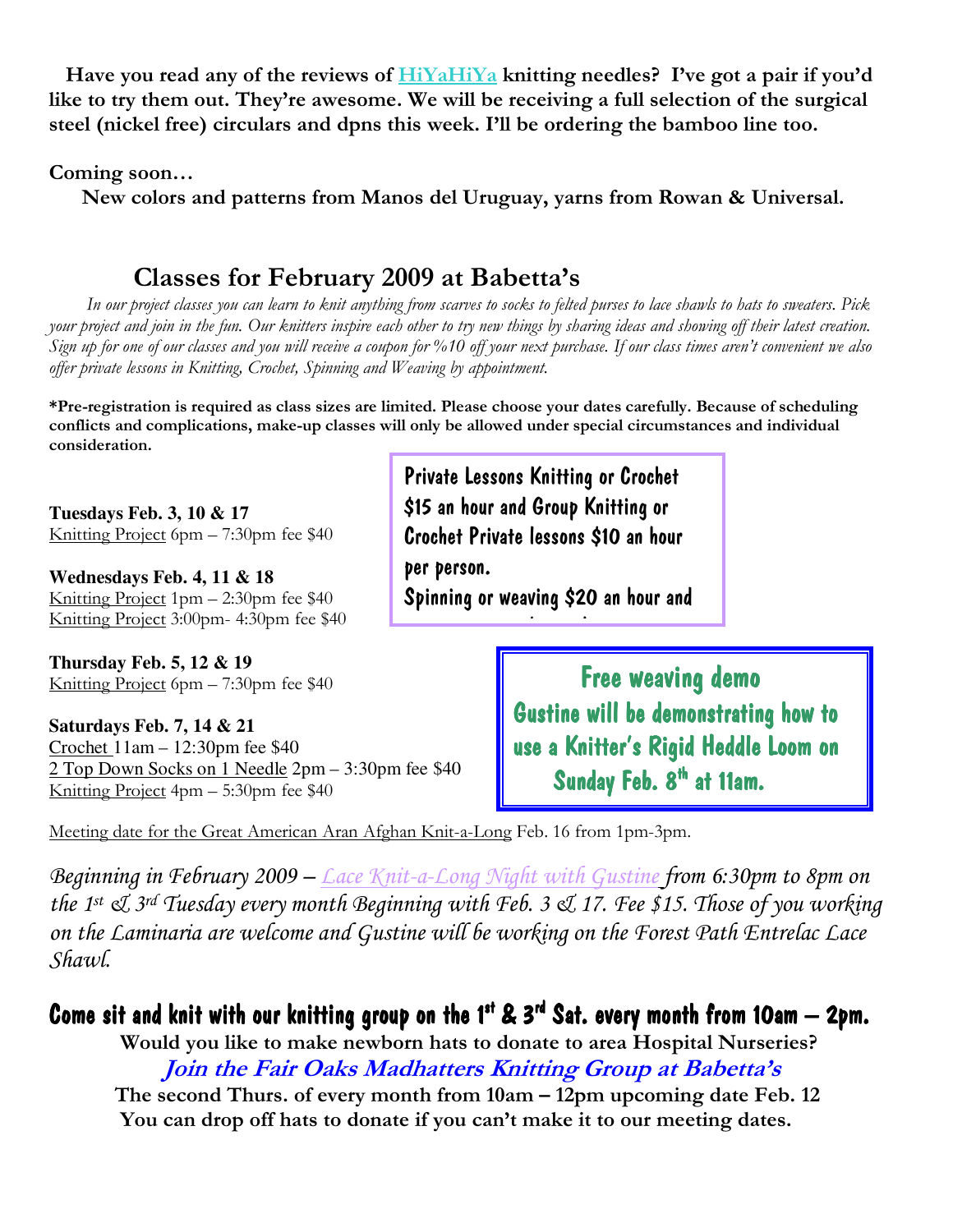Have you read any of the reviews of **HiYaHiYa** knitting needles? I've got a pair if you'd like to try them out. They're awesome. We will be receiving a full selection of the surgical steel (nickel free) circulars and dpns this week. I'll be ordering the bamboo line too.

Coming soon…

New colors and patterns from Manos del Uruguay, yarns from Rowan & Universal.

### Classes for February 2009 at Babetta's

 In our project classes you can learn to knit anything from scarves to socks to felted purses to lace shawls to hats to sweaters. Pick your project and join in the fun. Our knitters inspire each other to try new things by sharing ideas and showing off their latest creation. Sign up for one of our classes and you will receive a coupon for %10 off your next purchase. If our class times aren't convenient we also offer private lessons in Knitting, Crochet, Spinning and Weaving by appointment.

\*Pre-registration is required as class sizes are limited. Please choose your dates carefully. Because of scheduling conflicts and complications, make-up classes will only be allowed under special circumstances and individual consideration.

**Tuesdays Feb. 3, 10 & 17**  Knitting Project 6pm – 7:30pm fee \$40

**Wednesdays Feb. 4, 11 & 18**  Knitting Project 1pm – 2:30pm fee \$40 Knitting Project 3:00pm- 4:30pm fee \$40

**Thursday Feb. 5, 12 & 19**  Knitting Project 6pm – 7:30pm fee \$40

**Saturdays Feb. 7, 14 & 21**  Crochet 11am – 12:30pm fee \$40 2 Top Down Socks on 1 Needle 2pm – 3:30pm fee \$40 Knitting Project 4pm – 5:30pm fee \$40

Private Lessons Knitting or Crochet \$15 an hour and Group Knitting or Crochet Private lessons \$10 an hour per person. Spinning or weaving \$20 an hour and

group rates are the transfer per per person.

 Free weaving demo Gustine will be demonstrating how to use a Knitter's Rigid Heddle Loom on Sunday Feb. 8<sup>th</sup> at 11am.

Meeting date for the Great American Aran Afghan Knit-a-Long Feb. 16 from 1pm-3pm.

Beginning in February 2009 – Lace Knit-a-Long Night with Gustine from 6:30pm to 8pm on the 1<sup>st</sup>  $\mathcal{A}$  3<sup>rd</sup> Tuesday every month Beginning with Feb. 3  $\mathcal{A}$  17. Fee \$15. Those of you working on the Laminaria are welcome and Gustine will be working on the Forest Path Entrelac Lace Shawl.

### Come sit and knit with our knitting group on the 1st & 3<sup>rd</sup> Sat. every month from 10am – 2pm.

 Would you like to make newborn hats to donate to area Hospital Nurseries? Join the Fair Oaks Madhatters Knitting Group at Babetta's The second Thurs. of every month from 10am – 12pm upcoming date Feb. 12 You can drop off hats to donate if you can't make it to our meeting dates.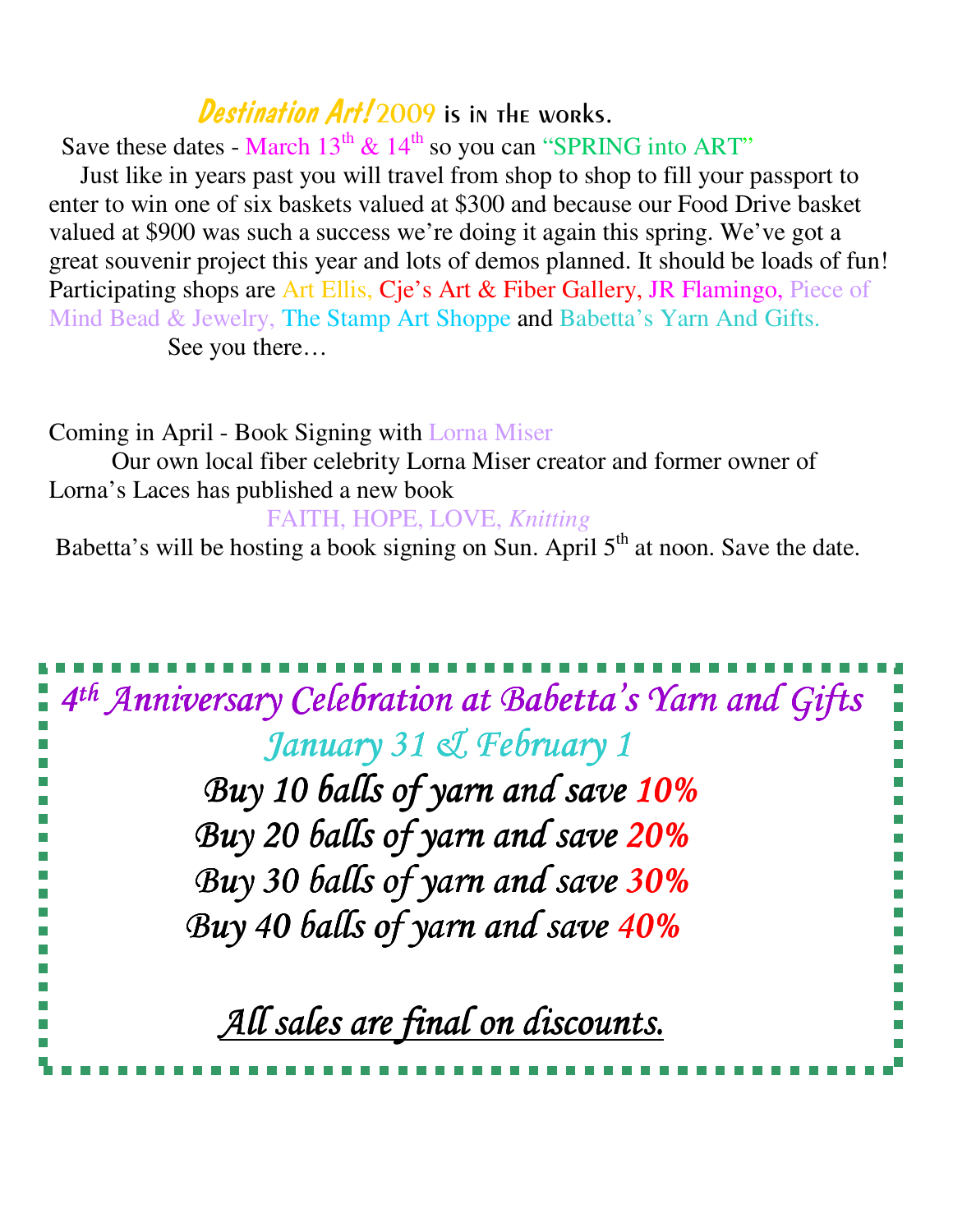## Destination Art! 2009 is in the works.

Save these dates - March  $13^{th}$  &  $14^{th}$  so you can "SPRING into ART"

 Just like in years past you will travel from shop to shop to fill your passport to enter to win one of six baskets valued at \$300 and because our Food Drive basket valued at \$900 was such a success we're doing it again this spring. We've got a great souvenir project this year and lots of demos planned. It should be loads of fun! Participating shops are Art Ellis, Cje's Art & Fiber Gallery, JR Flamingo, Piece of Mind Bead & Jewelry, The Stamp Art Shoppe and Babetta's Yarn And Gifts. See you there…

Coming in April - Book Signing with Lorna Miser Our own local fiber celebrity Lorna Miser creator and former owner of Lorna's Laces has published a new book FAITH, HOPE, LOVE, *Knitting* 

Babetta's will be hosting a book signing on Sun. April 5<sup>th</sup> at noon. Save the date.